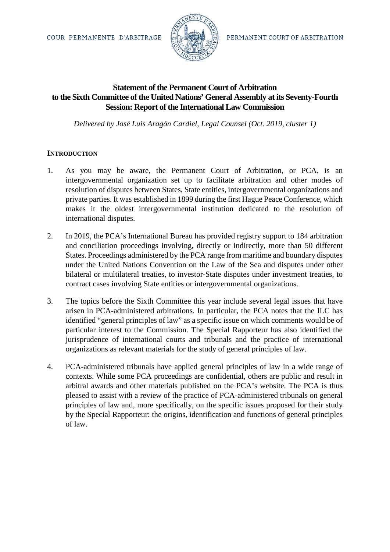

# **Statement of the Permanent Court of Arbitration to the Sixth Committee of the United Nations' General Assembly at its Seventy-Fourth Session: Report of the International Law Commission**

*Delivered by José Luis Aragón Cardiel, Legal Counsel (Oct. 2019, cluster 1)*

## **INTRODUCTION**

- 1. As you may be aware, the Permanent Court of Arbitration, or PCA, is an intergovernmental organization set up to facilitate arbitration and other modes of resolution of disputes between States, State entities, intergovernmental organizations and private parties. It was established in 1899 during the first Hague Peace Conference, which makes it the oldest intergovernmental institution dedicated to the resolution of international disputes.
- 2. In 2019, the PCA's International Bureau has provided registry support to 184 arbitration and conciliation proceedings involving, directly or indirectly, more than 50 different States. Proceedings administered by the PCA range from maritime and boundary disputes under the United Nations Convention on the Law of the Sea and disputes under other bilateral or multilateral treaties, to investor-State disputes under investment treaties, to contract cases involving State entities or intergovernmental organizations.
- 3. The topics before the Sixth Committee this year include several legal issues that have arisen in PCA-administered arbitrations. In particular, the PCA notes that the ILC has identified "general principles of law" as a specific issue on which comments would be of particular interest to the Commission. The Special Rapporteur has also identified the jurisprudence of international courts and tribunals and the practice of international organizations as relevant materials for the study of general principles of law.
- 4. PCA-administered tribunals have applied general principles of law in a wide range of contexts. While some PCA proceedings are confidential, others are public and result in arbitral awards and other materials published on the PCA's website. The PCA is thus pleased to assist with a review of the practice of PCA-administered tribunals on general principles of law and, more specifically, on the specific issues proposed for their study by the Special Rapporteur: the origins, identification and functions of general principles of law.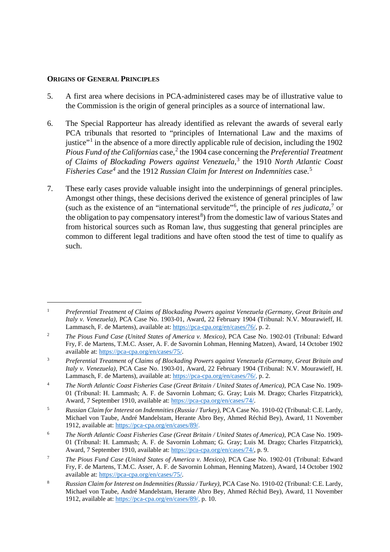#### **ORIGINS OF GENERAL PRINCIPLES**

<u>.</u>

- 5. A first area where decisions in PCA-administered cases may be of illustrative value to the Commission is the origin of general principles as a source of international law.
- 6. The Special Rapporteur has already identified as relevant the awards of several early PCA tribunals that resorted to "principles of International Law and the maxims of justice"[1](#page-1-0) in the absence of a more directly applicable rule of decision, including the 1902 *Pious Fund of the Californias* case,<sup>[2](#page-1-1)</sup> the 1904 case concerning the *Preferential Treatment of Claims of Blockading Powers against Venezuela*, [3](#page-1-2) the 1910 *North Atlantic Coast Fisheries Case[4](#page-1-3)* and the 1912 *Russian Claim for Interest on Indemnities* case. [5](#page-1-4)
- 7. These early cases provide valuable insight into the underpinnings of general principles. Amongst other things, these decisions derived the existence of general principles of law (such as the existence of an "international servitude"[6](#page-1-5) , the principle of *res judicata*, [7](#page-1-6) or the obligation to pay compensatory interest<sup>[8](#page-1-7)</sup>) from the domestic law of various States and from historical sources such as Roman law, thus suggesting that general principles are common to different legal traditions and have often stood the test of time to qualify as such.

<span id="page-1-0"></span><sup>1</sup> *Preferential Treatment of Claims of Blockading Powers against Venezuela (Germany, Great Britain and Italy v. Venezuela)*, PCA Case No. 1903-01, Award, 22 February 1904 (Tribunal: N.V. Mourawieff, H. Lammasch, F. de Martens), available at: [https://pca-cpa.org/en/cases/76/,](https://pca-cpa.org/en/cases/76/) p. 2.

<span id="page-1-1"></span><sup>2</sup> *The Pious Fund Case (United States of America v. Mexico)*, PCA Case No. 1902-01 (Tribunal: Edward Fry, F. de Martens, T.M.C. Asser, A. F. de Savornin Lohman, Henning Matzen), Award, 14 October 1902 available at: [https://pca-cpa.org/en/cases/75/.](https://pca-cpa.org/en/cases/75/)

<span id="page-1-2"></span><sup>3</sup> *Preferential Treatment of Claims of Blockading Powers against Venezuela (Germany, Great Britain and Italy v. Venezuela)*, PCA Case No. 1903-01, Award, 22 February 1904 (Tribunal: N.V. Mourawieff, H. Lammasch, F. de Martens), available at: [https://pca-cpa.org/en/cases/76/,](https://pca-cpa.org/en/cases/76/) p. 2.

<span id="page-1-3"></span><sup>4</sup> *The North Atlantic Coast Fisheries Case (Great Britain / United States of America)*, PCA Case No. 1909- 01 (Tribunal: H. Lammash; A. F. de Savornin Lohman; G. Gray; Luis M. Drago; Charles Fitzpatrick), Award, 7 September 1910, available at: [https://pca-cpa.org/en/cases/74/.](https://pca-cpa.org/en/cases/74/)

<span id="page-1-4"></span><sup>5</sup> *Russian Claim for Interest on Indemnities (Russia / Turkey)*, PCA Case No. 1910-02 (Tribunal: C.E. Lardy, Michael von Taube, André Mandelstam, Herante Abro Bey, Ahmed Réchid Bey), Award, 11 November 1912, available at: [https://pca-cpa.org/en/cases/89/.](https://pca-cpa.org/en/cases/89/)

<span id="page-1-5"></span><sup>6</sup> *The North Atlantic Coast Fisheries Case (Great Britain / United States of America)*, PCA Case No. 1909- 01 (Tribunal: H. Lammash; A. F. de Savornin Lohman; G. Gray; Luis M. Drago; Charles Fitzpatrick), Award, 7 September 1910, available at: [https://pca-cpa.org/en/cases/74/,](https://pca-cpa.org/en/cases/74/) p. 9.

<span id="page-1-6"></span><sup>7</sup> *The Pious Fund Case (United States of America v. Mexico)*, PCA Case No. 1902-01 (Tribunal: Edward Fry, F. de Martens, T.M.C. Asser, A. F. de Savornin Lohman, Henning Matzen), Award, 14 October 1902 available at: [https://pca-cpa.org/en/cases/75/.](https://pca-cpa.org/en/cases/75/)

<span id="page-1-7"></span><sup>8</sup> *Russian Claim for Interest on Indemnities (Russia / Turkey)*, PCA Case No. 1910-02 (Tribunal: C.E. Lardy, Michael von Taube, André Mandelstam, Herante Abro Bey, Ahmed Réchid Bey), Award, 11 November 1912, available at: [https://pca-cpa.org/en/cases/89/,](https://pca-cpa.org/en/cases/89/) p. 10.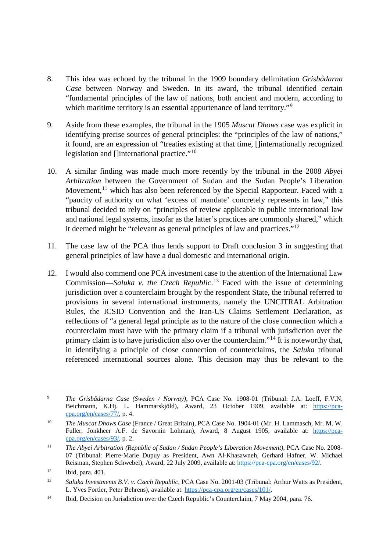- 8. This idea was echoed by the tribunal in the 1909 boundary delimitation *Grisbådarna Case* between Norway and Sweden. In its award, the tribunal identified certain "fundamental principles of the law of nations, both ancient and modern, according to which maritime territory is an essential appurtenance of land territory."<sup>[9](#page-2-0)</sup>
- 9. Aside from these examples, the tribunal in the 1905 *Muscat Dhows* case was explicit in identifying precise sources of general principles: the "principles of the law of nations," it found, are an expression of "treaties existing at that time, []internationally recognized legislation and []international practice."[10](#page-2-1)
- 10. A similar finding was made much more recently by the tribunal in the 2008 *Abyei Arbitration* between the Government of Sudan and the Sudan People's Liberation Movement,<sup>[11](#page-2-2)</sup> which has also been referenced by the Special Rapporteur. Faced with a "paucity of authority on what 'excess of mandate' concretely represents in law," this tribunal decided to rely on "principles of review applicable in public international law and national legal systems, insofar as the latter's practices are commonly shared," which it deemed might be "relevant as general principles of law and practices."[12](#page-2-3)
- 11. The case law of the PCA thus lends support to Draft conclusion 3 in suggesting that general principles of law have a dual domestic and international origin.
- 12. I would also commend one PCA investment case to the attention of the International Law Commission—*Saluka v. the Czech Republic*. [13](#page-2-4) Faced with the issue of determining jurisdiction over a counterclaim brought by the respondent State, the tribunal referred to provisions in several international instruments, namely the UNCITRAL Arbitration Rules, the ICSID Convention and the Iran-US Claims Settlement Declaration, as reflections of "a general legal principle as to the nature of the close connection which a counterclaim must have with the primary claim if a tribunal with jurisdiction over the primary claim is to have jurisdiction also over the counterclaim."[14](#page-2-5) It is noteworthy that, in identifying a principle of close connection of counterclaims, the *Saluka* tribunal referenced international sources alone. This decision may thus be relevant to the

<span id="page-2-0"></span><sup>9</sup> *The Grisbådarna Case (Sweden / Norway)*, PCA Case No. 1908-01 (Tribunal: J.A. Loeff, F.V.N. Beichmann, K.Hj. L. Hammarskjöld), Award, 23 October 1909, available at: [https://pca](https://pca-cpa.org/en/cases/77/)[cpa.org/en/cases/77/,](https://pca-cpa.org/en/cases/77/) p. 4.  $\overline{9}$ 

<span id="page-2-1"></span><sup>10</sup> *The Muscat Dhows Case* (France / Great Britain), PCA Case No. 1904-01 (Mr. H. Lammasch, Mr. M. W. Fuller, Jonkheer A.F. de Savornin Lohman), Award, 8 August 1905, available at: [https://pca](https://pca-cpa.org/en/cases/93/)[cpa.org/en/cases/93/,](https://pca-cpa.org/en/cases/93/) p. 2.

<span id="page-2-2"></span><sup>11</sup> *The Abyei Arbitration (Republic of Sudan / Sudan People's Liberation Movement)*, PCA Case No. 2008- 07 (Tribunal: Pierre-Marie Dupuy as President, Awn Al-Khasawneh, Gerhard Hafner, W. Michael Reisman, Stephen Schwebel), Award, 22 July 2009, available at: [https://pca-cpa.org/en/cases/92/.](https://pca-cpa.org/en/cases/92/)

<span id="page-2-3"></span><sup>12</sup> Ibid, para. 401.

<span id="page-2-4"></span><sup>13</sup> *Saluka Investments B.V. v. Czech Republic*, PCA Case No. 2001-03 (Tribunal: Arthur Watts as President, L. Yves Fortier, Peter Behrens), available at: [https://pca-cpa.org/en/cases/101/.](https://pca-cpa.org/en/cases/101/)

<span id="page-2-5"></span><sup>&</sup>lt;sup>14</sup> Ibid, Decision on Jurisdiction over the Czech Republic's Counterclaim, 7 May 2004, para. 76.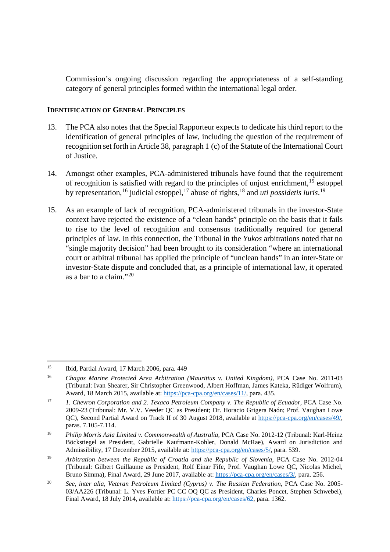Commission's ongoing discussion regarding the appropriateness of a self-standing category of general principles formed within the international legal order.

## **IDENTIFICATION OF GENERAL PRINCIPLES**

- 13. The PCA also notes that the Special Rapporteur expects to dedicate his third report to the identification of general principles of law, including the question of the requirement of recognition set forth in Article 38, paragraph 1 (c) of the Statute of the International Court of Justice.
- 14. Amongst other examples, PCA-administered tribunals have found that the requirement of recognition is satisfied with regard to the principles of unjust enrichment,<sup>[15](#page-3-0)</sup> estoppel by representation, <sup>[16](#page-3-1)</sup> judicial estoppel, <sup>[17](#page-3-2)</sup> abuse of rights, <sup>[18](#page-3-3)</sup> and *uti possidetis iuris*. <sup>[19](#page-3-4)</sup>
- 15. As an example of lack of recognition, PCA-administered tribunals in the investor-State context have rejected the existence of a "clean hands" principle on the basis that it fails to rise to the level of recognition and consensus traditionally required for general principles of law. In this connection, the Tribunal in the *Yukos* arbitrations noted that no "single majority decision" had been brought to its consideration "where an international court or arbitral tribunal has applied the principle of "unclean hands" in an inter-State or investor-State dispute and concluded that, as a principle of international law, it operated as a bar to a claim."[20](#page-3-5)

<u>.</u>

<span id="page-3-0"></span><sup>15</sup> Ibid, Partial Award, 17 March 2006, para. 449

<span id="page-3-1"></span><sup>16</sup> *Chagos Marine Protected Area Arbitration (Mauritius v. United Kingdom)*, PCA Case No. 2011-03 (Tribunal: Ivan Shearer, Sir Christopher Greenwood, Albert Hoffman, James Kateka, Rüdiger Wolfrum), Award, 18 March 2015, available at[: https://pca-cpa.org/en/cases/11/,](https://pca-cpa.org/en/cases/11/) para. 435.

<span id="page-3-2"></span><sup>17</sup> *1. Chevron Corporation and 2. Texaco Petroleum Company v. The Republic of Ecuador*, PCA Case No. 2009-23 (Tribunal: Mr. V.V. Veeder QC as President; Dr. Horacio Grigera Naón; Prof. Vaughan Lowe QC), Second Partial Award on Track II of 30 August 2018, available at [https://pca-cpa.org/en/cases/49/,](https://pca-cpa.org/en/cases/49/) paras. 7.105-7.114.

<span id="page-3-3"></span><sup>&</sup>lt;sup>18</sup> *Philip Morris Asia Limited v. Commonwealth of Australia, PCA Case No. 2012-12 (Tribunal: Karl-Heinz* Böckstiegel as President, Gabrielle Kaufmann-Kohler, Donald McRae), Award on Jurisdiction and Admissibility, 17 December 2015, available at: [https://pca-cpa.org/en/cases/5/,](https://pca-cpa.org/en/cases/5/) para. 539.

<span id="page-3-4"></span><sup>&</sup>lt;sup>19</sup> *Arbitration between the Republic of Croatia and the Republic of Slovenia*, PCA Case No. 2012-04 (Tribunal: Gilbert Guillaume as President, Rolf Einar Fife, Prof. Vaughan Lowe QC, Nicolas Michel, Bruno Simma), Final Award, 29 June 2017, available at: [https://pca-cpa.org/en/cases/3/,](https://pca-cpa.org/en/cases/3/) para. 256.

<span id="page-3-5"></span><sup>20</sup> *See*, *inter alia*, *Veteran Petroleum Limited (Cyprus) v. The Russian Federation*, PCA Case No. 2005- 03/AA226 (Tribunal: L. Yves Fortier PC CC OQ QC as President, Charles Poncet, Stephen Schwebel), Final Award, 18 July 2014, available at: [https://pca-cpa.org/en/cases/62,](https://pca-cpa.org/en/cases/62) para. 1362.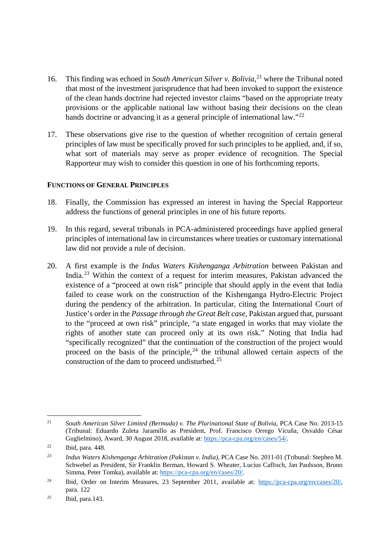- 16. This finding was echoed in *South American Silver v. Bolivia*, [21](#page-4-0) where the Tribunal noted that most of the investment jurisprudence that had been invoked to support the existence of the clean hands doctrine had rejected investor claims "based on the appropriate treaty provisions or the applicable national law without basing their decisions on the clean hands doctrine or advancing it as a general principle of international law."<sup>[22](#page-4-1)</sup>
- 17. These observations give rise to the question of whether recognition of certain general principles of law must be specifically proved for such principles to be applied, and, if so, what sort of materials may serve as proper evidence of recognition. The Special Rapporteur may wish to consider this question in one of his forthcoming reports.

### **FUNCTIONS OF GENERAL PRINCIPLES**

- 18. Finally, the Commission has expressed an interest in having the Special Rapporteur address the functions of general principles in one of his future reports.
- 19. In this regard, several tribunals in PCA-administered proceedings have applied general principles of international law in circumstances where treaties or customary international law did not provide a rule of decision.
- 20. A first example is the *Indus Waters Kishenganga Arbitration* between Pakistan and India.[23](#page-4-2) Within the context of a request for interim measures, Pakistan advanced the existence of a "proceed at own risk" principle that should apply in the event that India failed to cease work on the construction of the Kishenganga Hydro-Electric Project during the pendency of the arbitration. In particular, citing the International Court of Justice's order in the *Passage through the Great Belt case*, Pakistan argued that, pursuant to the "proceed at own risk" principle, "a state engaged in works that may violate the rights of another state can proceed only at its own risk." Noting that India had "specifically recognized" that the continuation of the construction of the project would proceed on the basis of the principle,  $24$  the tribunal allowed certain aspects of the construction of the dam to proceed undisturbed.<sup>[25](#page-4-4)</sup>

<span id="page-4-0"></span><sup>21</sup> *South American Silver Limited (Bermuda) v. The Plurinational State of Bolivia*, PCA Case No. 2013-15 (Tribunal: Eduardo Zuleta Jaramillo as President, Prof. Francisco Orrego Vicuña, Osvaldo César Guglielmino), Award, 30 August 2018, available at: [https://pca-cpa.org/en/cases/54/.](https://pca-cpa.org/en/cases/54/)  $21$ 

<span id="page-4-1"></span><sup>22</sup> Ibid, para. 448.

<span id="page-4-2"></span><sup>23</sup> *Indus Waters Kishenganga Arbitration (Pakistan v. India)*, PCA Case No. 2011-01 (Tribunal: Stephen M. Schwebel as President, Sir Franklin Berman, Howard S. Wheater, Lucius Caflisch, Jan Paulsson, Bruno Simma, Peter Tomka), available at: [https://pca-cpa.org/en/cases/20/.](https://pca-cpa.org/en/cases/20/)

<span id="page-4-3"></span><sup>24</sup> Ibid, Order on Interim Measures, 23 September 2011, available at: [https://pca-cpa.org/en/cases/20/,](https://pca-cpa.org/en/cases/20/) para. 122

<span id="page-4-4"></span> $^{25}$  Ibid, para.143.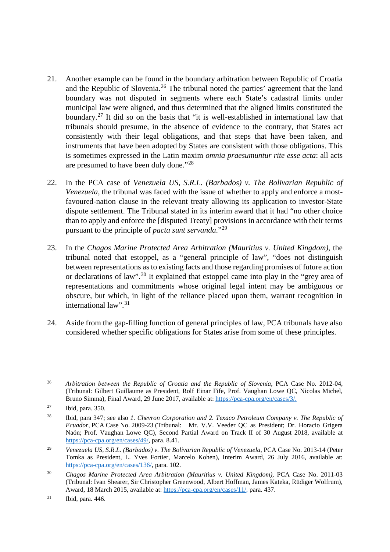- 21. Another example can be found in the boundary arbitration between Republic of Croatia and the Republic of Slovenia.<sup>[26](#page-5-0)</sup> The tribunal noted the parties' agreement that the land boundary was not disputed in segments where each State's cadastral limits under municipal law were aligned, and thus determined that the aligned limits constituted the boundary.[27](#page-5-1) It did so on the basis that "it is well-established in international law that tribunals should presume, in the absence of evidence to the contrary, that States act consistently with their legal obligations, and that steps that have been taken, and instruments that have been adopted by States are consistent with those obligations. This is sometimes expressed in the Latin maxim *omnia praesumuntur rite esse acta*: all acts are presumed to have been duly done."[28](#page-5-2)
- 22. In the PCA case of *Venezuela US, S.R.L. (Barbados) v. The Bolivarian Republic of Venezuela*, the tribunal was faced with the issue of whether to apply and enforce a mostfavoured-nation clause in the relevant treaty allowing its application to investor-State dispute settlement. The Tribunal stated in its interim award that it had "no other choice than to apply and enforce the [disputed Treaty] provisions in accordance with their terms pursuant to the principle of *pacta sunt servanda*."[29](#page-5-3)
- 23. In the *Chagos Marine Protected Area Arbitration (Mauritius v. United Kingdom)*, the tribunal noted that estoppel, as a "general principle of law", "does not distinguish between representations as to existing facts and those regarding promises of future action or declarations of law".<sup>[30](#page-5-4)</sup> It explained that estoppel came into play in the "grey area of representations and commitments whose original legal intent may be ambiguous or obscure, but which, in light of the reliance placed upon them, warrant recognition in international law". [31](#page-5-5)
- 24. Aside from the gap-filling function of general principles of law, PCA tribunals have also considered whether specific obligations for States arise from some of these principles.

<span id="page-5-0"></span><sup>&</sup>lt;sup>26</sup> *Arbitration between the Republic of Croatia and the Republic of Slovenia*, PCA Case No. 2012-04, (Tribunal: Gilbert Guillaume as President, Rolf Einar Fife, Prof. Vaughan Lowe QC, Nicolas Michel, Bruno Simma), Final Award, 29 June 2017, available at: [https://pca-cpa.org/en/cases/3/.](https://pca-cpa.org/en/cases/3/) <u>.</u>

<span id="page-5-1"></span> $^{27}$  Ibid, para. 350.

<span id="page-5-2"></span><sup>28</sup> Ibid, para 347; see also *1. Chevron Corporation and 2. Texaco Petroleum Company v. The Republic of Ecuador*, PCA Case No. 2009-23 (Tribunal: Mr. V.V. Veeder QC as President; Dr. Horacio Grigera Naón; Prof. Vaughan Lowe QC), Second Partial Award on Track II of 30 August 2018, available at [https://pca-cpa.org/en/cases/49/,](https://pca-cpa.org/en/cases/49/) para. 8.41.

<span id="page-5-3"></span><sup>&</sup>lt;sup>29</sup> *Venezuela US, S.R.L. (Barbados) v. The Bolivarian Republic of Venezuela*, PCA Case No. 2013-14 (Peter Tomka as President, L. Yves Fortier, Marcelo Kohen), Interim Award, 26 July 2016, available at: [https://pca-cpa.org/en/cases/136/,](https://pca-cpa.org/en/cases/136/) para. 102.

<span id="page-5-4"></span><sup>30</sup> *Chagos Marine Protected Area Arbitration (Mauritius v. United Kingdom)*, PCA Case No. 2011-03 (Tribunal: Ivan Shearer, Sir Christopher Greenwood, Albert Hoffman, James Kateka, Rüdiger Wolfrum), Award, 18 March 2015, available at[: https://pca-cpa.org/en/cases/11/,](https://pca-cpa.org/en/cases/11/) para. 437.

<span id="page-5-5"></span><sup>31</sup> Ibid, para. 446.